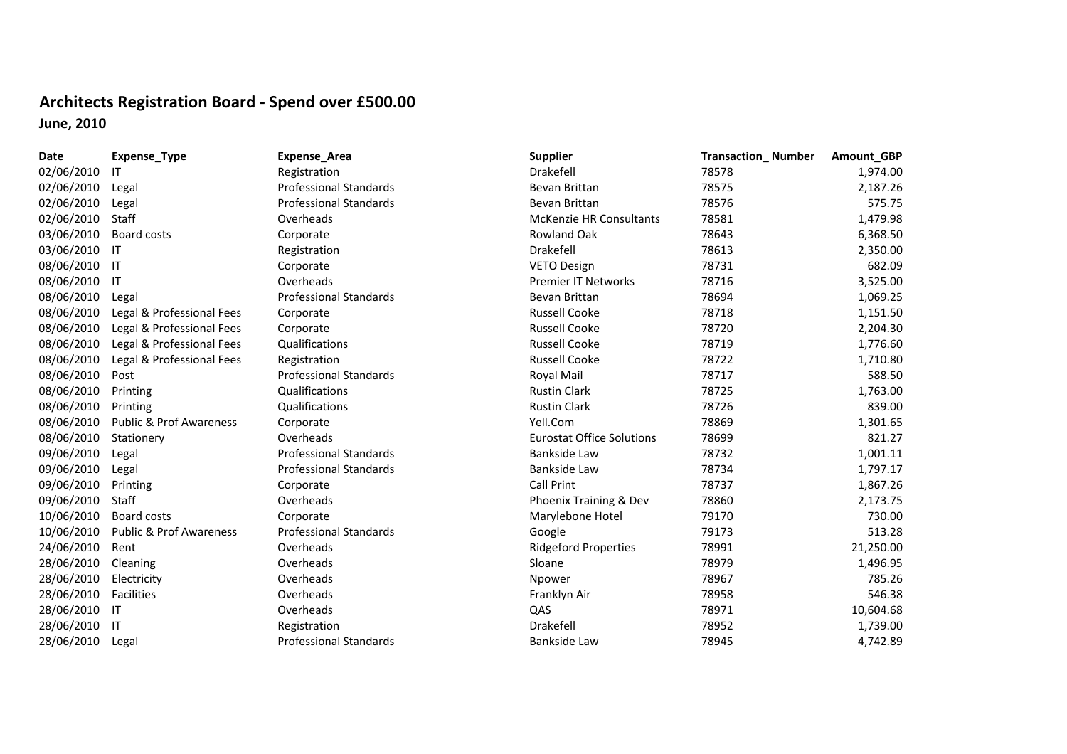## **Architects Registration Board ‐ Spend over £500.00 June, 2010**

| Date       | Expense_Type                       | Expense_Area                  | <b>Supplier</b>                  | <b>Transaction_Number</b> | Amount_GBP |
|------------|------------------------------------|-------------------------------|----------------------------------|---------------------------|------------|
| 02/06/2010 | ΙT                                 | Registration                  | Drakefell                        | 78578                     | 1,974.00   |
| 02/06/2010 | Legal                              | <b>Professional Standards</b> | Bevan Brittan                    | 78575                     | 2,187.26   |
| 02/06/2010 | Legal                              | <b>Professional Standards</b> | Bevan Brittan                    | 78576                     | 575.75     |
| 02/06/2010 | Staff                              | Overheads                     | <b>McKenzie HR Consultants</b>   | 78581                     | 1,479.98   |
| 03/06/2010 | Board costs                        | Corporate                     | Rowland Oak                      | 78643                     | 6,368.50   |
| 03/06/2010 | $\mathsf{I}$                       | Registration                  | Drakefell                        | 78613                     | 2,350.00   |
| 08/06/2010 | $\mathsf{I}$                       | Corporate                     | <b>VETO Design</b>               | 78731                     | 682.09     |
| 08/06/2010 | $\mathsf{I}$                       | Overheads                     | <b>Premier IT Networks</b>       | 78716                     | 3,525.00   |
| 08/06/2010 | Legal                              | <b>Professional Standards</b> | Bevan Brittan                    | 78694                     | 1,069.25   |
| 08/06/2010 | Legal & Professional Fees          | Corporate                     | <b>Russell Cooke</b>             | 78718                     | 1,151.50   |
| 08/06/2010 | Legal & Professional Fees          | Corporate                     | <b>Russell Cooke</b>             | 78720                     | 2,204.30   |
| 08/06/2010 | Legal & Professional Fees          | Qualifications                | <b>Russell Cooke</b>             | 78719                     | 1,776.60   |
| 08/06/2010 | Legal & Professional Fees          | Registration                  | <b>Russell Cooke</b>             | 78722                     | 1,710.80   |
| 08/06/2010 | Post                               | <b>Professional Standards</b> | Royal Mail                       | 78717                     | 588.50     |
| 08/06/2010 | Printing                           | Qualifications                | <b>Rustin Clark</b>              | 78725                     | 1,763.00   |
| 08/06/2010 | Printing                           | Qualifications                | <b>Rustin Clark</b>              | 78726                     | 839.00     |
| 08/06/2010 | <b>Public &amp; Prof Awareness</b> | Corporate                     | Yell.Com                         | 78869                     | 1,301.65   |
| 08/06/2010 | Stationery                         | Overheads                     | <b>Eurostat Office Solutions</b> | 78699                     | 821.27     |
| 09/06/2010 | Legal                              | <b>Professional Standards</b> | Bankside Law                     | 78732                     | 1,001.11   |
| 09/06/2010 | Legal                              | <b>Professional Standards</b> | Bankside Law                     | 78734                     | 1,797.17   |
| 09/06/2010 | Printing                           | Corporate                     | Call Print                       | 78737                     | 1,867.26   |
| 09/06/2010 | Staff                              | Overheads                     | Phoenix Training & Dev           | 78860                     | 2,173.75   |
| 10/06/2010 | Board costs                        | Corporate                     | Marylebone Hotel                 | 79170                     | 730.00     |
| 10/06/2010 | <b>Public &amp; Prof Awareness</b> | <b>Professional Standards</b> | Google                           | 79173                     | 513.28     |
| 24/06/2010 | Rent                               | Overheads                     | <b>Ridgeford Properties</b>      | 78991                     | 21,250.00  |
| 28/06/2010 | Cleaning                           | Overheads                     | Sloane                           | 78979                     | 1,496.95   |
| 28/06/2010 | Electricity                        | Overheads                     | Npower                           | 78967                     | 785.26     |
| 28/06/2010 | Facilities                         | Overheads                     | Franklyn Air                     | 78958                     | 546.38     |
| 28/06/2010 | -IT                                | Overheads                     | QAS                              | 78971                     | 10,604.68  |
| 28/06/2010 | -IT                                | Registration                  | Drakefell                        | 78952                     | 1,739.00   |
| 28/06/2010 | Legal                              | <b>Professional Standards</b> | Bankside Law                     | 78945                     | 4,742.89   |
|            |                                    |                               |                                  |                           |            |